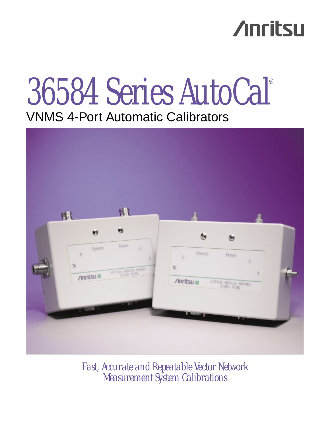# **Anritsu**

# 36584 Series AutoCal® VNMS 4-Port Automatic Calibrators



*Fast, Accurate and Repeatable Vector Network Measurement System Calibrations*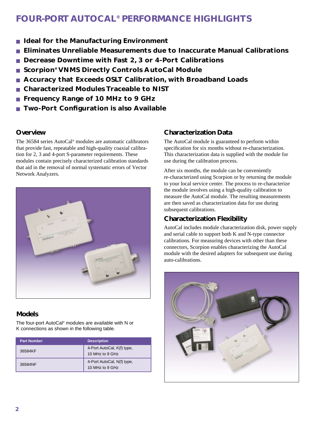# **FOUR-PORT AUTOCAL® PERFORMANCE HIGHLIGHTS**

- **Ideal for the Manufacturing Environment**
- **Eliminates Unreliable Measurements due to Inaccurate Manual Calibrations**
- Decrease Downtime with Fast 2, 3 or 4-Port Calibrations
- **Scorpion<sup>®</sup> VNMS Directly Controls AutoCal Module**
- **Accuracy that Exceeds OSLT Calibration, with Broadband Loads**
- **Characterized Modules Traceable to NIST**
- **Frequency Range of 10 MHz to 9 GHz**
- **Two-Port Configuration is also Available**

# **Overview**

The 36584 series AutoCal® modules are automatic calibrators that provide fast, repeatable and high-quality coaxial calibration for 2, 3 and 4-port S-parameter requirements. These modules contain precisely characterized calibration standards that aid in the removal of normal systematic errors of Vector Network Analyzers.



# **Models**

The four-port AutoCal® modules are available with N or K connections as shown in the following table.

| <b>Part Number</b> | <b>Description</b>                            |
|--------------------|-----------------------------------------------|
| 36584KF            | 4-Port AutoCal, K(f) type,<br>10 MHz to 9 GHz |
| 36584NF            | 4-Port AutoCal, N(f) type,<br>10 MHz to 9 GHz |

# **Characterization Data**

The AutoCal module is guaranteed to perform within specification for six months without re-characterization. This characterization data is supplied with the module for use during the calibration process.

After six months, the module can be conveniently re-characterized using Scorpion or by returning the module to your local service center. The process to re-characterize the module involves using a high-quality calibration to measure the AutoCal module. The resulting measurements are then saved as characterization data for use during subsequent calibrations.

# **Characterization Flexibility**

AutoCal includes module characterization disk, power supply and serial cable to support both K and N-type connector calibrations. For measuring devices with other than these connectors, Scorpion enables characterizing the AutoCal module with the desired adapters for subsequent use during auto-calibrations.

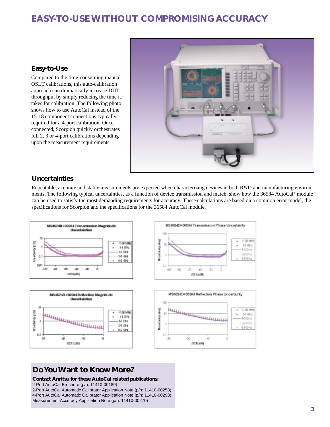# **EASY-TO-USE WITHOUT COMPROMISING ACCURACY**

## **Easy-to-Use**

Compared to the time-consuming manual OSLT calibrations, this auto-calibration approach can dramatically increase DUT throughput by simply reducing the time it takes for calibration. The following photo shows how to use AutoCal instead of the 15-18 component connections typically required for a 4-port calibration. Once connected, Scorpion quickly orchestrates full 2, 3 or 4-port calibrations depending upon the measurement requirements.



## **Uncertainties**

Repeatable, accurate and stable measurements are expected when characterizing devices in both R&D and manufacturing environments. The following typical uncertainties, as a function of device transmission and match, show how the 36584 AutoCal® module can be used to satisfy the most demanding requirements for accuracy. These calculations are based on a common error model, the specifications for Scorpion and the specifications for the 36584 AutoCal module.



# **Do You Want to Know More?**

**Contact Anritsu for these AutoCal related publications:**

2-Port AutoCal Brochure (p/n: 11410-00189)

2-Port AutoCal Automatic Calibrator Application Note (p/n: 11410-00258) 4-Port AutoCal Automatic Calibrator Application Note (p/n: 11410-00298) Measurement Accuracy Application Note (p/n: 11410-00270)